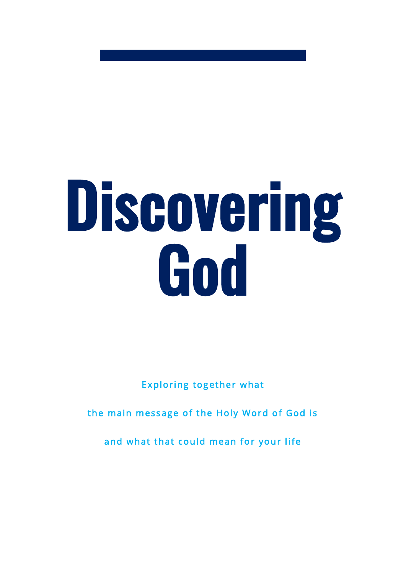# Discovering God

Exploring together what

the main message of the Holy Word of God is

and what that could mean for your life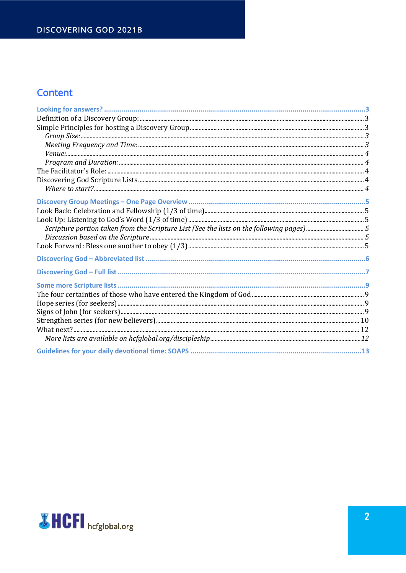#### **Content**

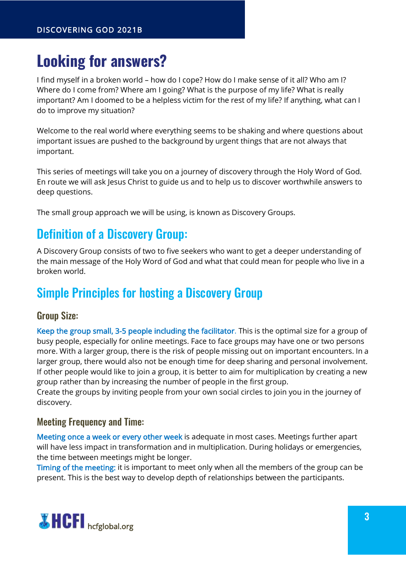## <span id="page-2-0"></span>**Looking for answers?**

I find myself in a broken world – how do I cope? How do I make sense of it all? Who am I? Where do I come from? Where am I going? What is the purpose of my life? What is really important? Am I doomed to be a helpless victim for the rest of my life? If anything, what can I do to improve my situation?

Welcome to the real world where everything seems to be shaking and where questions about important issues are pushed to the background by urgent things that are not always that important.

This series of meetings will take you on a journey of discovery through the Holy Word of God. En route we will ask Jesus Christ to guide us and to help us to discover worthwhile answers to deep questions.

<span id="page-2-1"></span>The small group approach we will be using, is known as Discovery Groups.

## Definition of a Discovery Group:

A Discovery Group consists of two to five seekers who want to get a deeper understanding of the main message of the Holy Word of God and what that could mean for people who live in a broken world.

## <span id="page-2-2"></span>Simple Principles for hosting a Discovery Group

#### <span id="page-2-3"></span>Group Size:

Keep the group small, 3-5 people including the facilitator. This is the optimal size for a group of busy people, especially for online meetings. Face to face groups may have one or two persons more. With a larger group, there is the risk of people missing out on important encounters. In a larger group, there would also not be enough time for deep sharing and personal involvement. If other people would like to join a group, it is better to aim for multiplication by creating a new group rather than by increasing the number of people in the first group.

Create the groups by inviting people from your own social circles to join you in the journey of discovery.

#### <span id="page-2-4"></span>Meeting Frequency and Time:

Meeting once a week or every other week is adequate in most cases. Meetings further apart will have less impact in transformation and in multiplication. During holidays or emergencies, the time between meetings might be longer.

Timing of the meeting: it is important to meet only when all the members of the group can be present. This is the best way to develop depth of relationships between the participants.

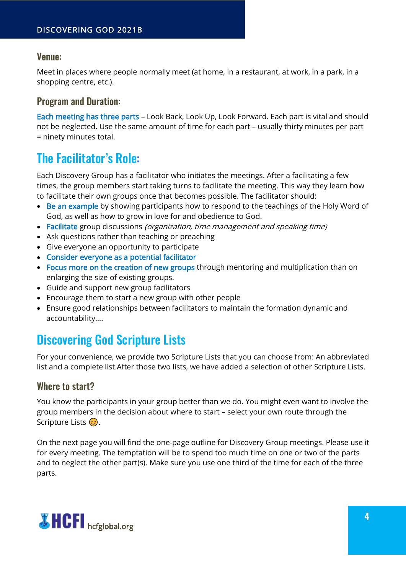#### <span id="page-3-0"></span>Venue:

Meet in places where people normally meet (at home, in a restaurant, at work, in a park, in a shopping centre, etc.).

#### <span id="page-3-1"></span>Program and Duration:

Each meeting has three parts – Look Back, Look Up, Look Forward. Each part is vital and should not be neglected. Use the same amount of time for each part – usually thirty minutes per part = ninety minutes total.

## <span id="page-3-2"></span>The Facilitator's Role:

Each Discovery Group has a facilitator who initiates the meetings. After a facilitating a few times, the group members start taking turns to facilitate the meeting. This way they learn how to facilitate their own groups once that becomes possible. The facilitator should:

- Be an example by showing participants how to respond to the teachings of the Holy Word of God, as well as how to grow in love for and obedience to God.
- Facilitate group discussions *(organization, time management and speaking time)*
- Ask questions rather than teaching or preaching
- Give everyone an opportunity to participate
- Consider everyone as a potential facilitator
- Focus more on the creation of new groups through mentoring and multiplication than on enlarging the size of existing groups.
- Guide and support new group facilitators
- Encourage them to start a new group with other people
- Ensure good relationships between facilitators to maintain the formation dynamic and accountability….

## <span id="page-3-3"></span>Discovering God Scripture Lists

For your convenience, we provide two Scripture Lists that you can choose from: An abbreviated list and a complete list.After those two lists, we have added a selection of other Scripture Lists.

#### <span id="page-3-4"></span>Where to start?

You know the participants in your group better than we do. You might even want to involve the group members in the decision about where to start – select your own route through the Scripture Lists  $\circled{c}$ .

On the next page you will find the one-page outline for Discovery Group meetings. Please use it for every meeting. The temptation will be to spend too much time on one or two of the parts and to neglect the other part(s). Make sure you use one third of the time for each of the three parts.

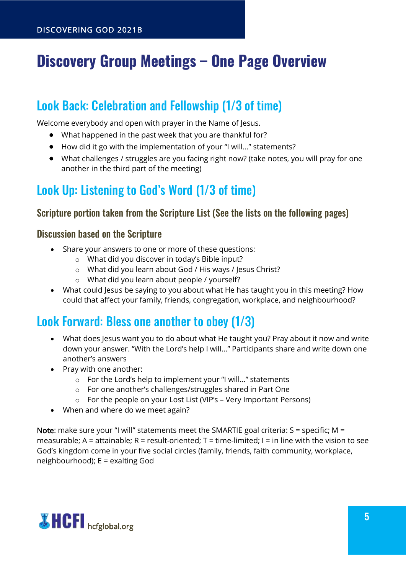# <span id="page-4-0"></span>**Discovery Group Meetings – One Page Overview**

## <span id="page-4-1"></span>Look Back: Celebration and Fellowship (1/3 of time)

Welcome everybody and open with prayer in the Name of Jesus.

- What happened in the past week that you are thankful for?
- How did it go with the implementation of your "I will…" statements?
- What challenges / struggles are you facing right now? (take notes, you will pray for one another in the third part of the meeting)

## <span id="page-4-2"></span>Look Up: Listening to God's Word (1/3 of time)

#### <span id="page-4-3"></span>Scripture portion taken from the Scripture List (See the lists on the following pages)

#### <span id="page-4-4"></span>Discussion based on the Scripture

- Share your answers to one or more of these questions:
	- o What did you discover in today's Bible input?
	- o What did you learn about God / His ways / Jesus Christ?
	- o What did you learn about people / yourself?
- What could Jesus be saying to you about what He has taught you in this meeting? How could that affect your family, friends, congregation, workplace, and neighbourhood?

### <span id="page-4-5"></span>Look Forward: Bless one another to obey (1/3)

- What does Jesus want you to do about what He taught you? Pray about it now and write down your answer. "With the Lord's help I will…" Participants share and write down one another's answers
- Pray with one another:
	- o For the Lord's help to implement your "I will…" statements
	- o For one another's challenges/struggles shared in Part One
	- o For the people on your Lost List (VIP's Very Important Persons)
- When and where do we meet again?

Note: make sure your "I will" statements meet the SMARTIE goal criteria:  $S =$  specific; M = measurable; A = attainable; R = result-oriented; T = time-limited; I = in line with the vision to see God's kingdom come in your five social circles (family, friends, faith community, workplace, neighbourhood); E = exalting God

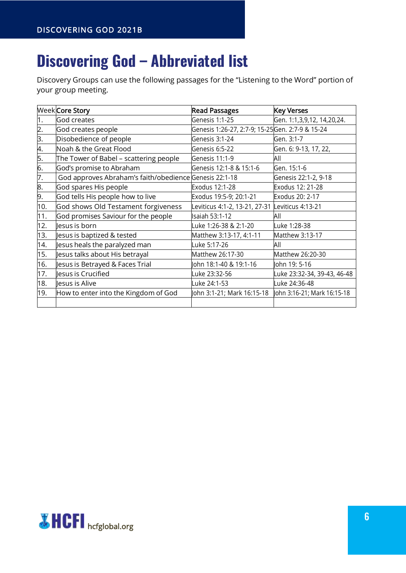# <span id="page-5-0"></span>**Discovering God – Abbreviated list**

Discovery Groups can use the following passages for the "Listening to the Word" portion of your group meeting.

|     | Week Core Story                                        | <b>Read Passages</b>                            | <b>Key Verses</b>           |
|-----|--------------------------------------------------------|-------------------------------------------------|-----------------------------|
| 1.  | God creates                                            | Genesis 1:1-25                                  | Gen. 1:1,3,9,12, 14,20,24.  |
| 2.  | God creates people                                     | Genesis 1:26-27, 2:7-9; 15-25Gen. 2:7-9 & 15-24 |                             |
| 3.  | Disobedience of people                                 | Genesis 3:1-24                                  | Gen. 3:1-7                  |
| 4.  | Noah & the Great Flood                                 | Genesis 6:5-22                                  | Gen. 6: 9-13, 17, 22,       |
| 5.  | The Tower of Babel – scattering people                 | Genesis 11:1-9                                  | All                         |
| 6.  | God's promise to Abraham                               | Genesis 12:1-8 & 15:1-6                         | Gen. 15:1-6                 |
| 7.  | God approves Abraham's faith/obedience Genesis 22:1-18 |                                                 | Genesis 22:1-2, 9-18        |
| 8.  | God spares His people                                  | Exodus 12:1-28                                  | Exodus 12: 21-28            |
| 9.  | God tells His people how to live                       | Exodus 19:5-9; 20:1-21                          | Exodus 20: 2-17             |
| 10. | God shows Old Testament forgiveness                    | Leviticus 4:1-2, 13-21, 27-31                   | Leviticus 4:13-21           |
| 11. | God promises Saviour for the people                    | Isaiah 53:1-12                                  | All                         |
| 12. | lesus is born                                          | Luke 1:26-38 & 2:1-20                           | Luke 1:28-38                |
| 13. | Jesus is baptized & tested                             | Matthew 3:13-17, 4:1-11                         | Matthew 3:13-17             |
| 14. | esus heals the paralyzed man                           | Luke 5:17-26                                    | All                         |
| 15. | esus talks about His betrayal                          | Matthew 26:17-30                                | Matthew 26:20-30            |
| 16. | Jesus is Betrayed & Faces Trial                        | John 18:1-40 & 19:1-16                          | John 19: 5-16               |
| 17. | esus is Crucified                                      | Luke 23:32-56                                   | uke 23:32-34, 39-43, 46-48  |
| 18. | lesus is Alive                                         | Luke 24:1-53                                    | Luke 24:36-48               |
| 19. | How to enter into the Kingdom of God                   | John 3:1-21; Mark 16:15-18                      | John 3:16-21; Mark 16:15-18 |
|     |                                                        |                                                 |                             |

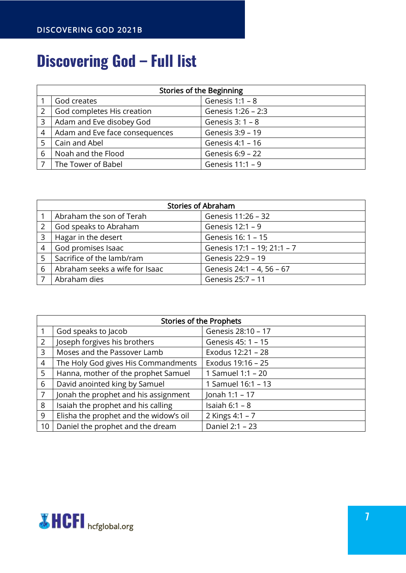# <span id="page-6-0"></span>**Discovering God – Full list**

|   | <b>Stories of the Beginning</b> |                    |  |
|---|---------------------------------|--------------------|--|
|   | God creates                     | Genesis $1:1 - 8$  |  |
|   | God completes His creation      | Genesis 1:26 - 2:3 |  |
| 3 | Adam and Eve disobey God        | Genesis $3:1 - 8$  |  |
| 4 | Adam and Eve face consequences  | Genesis 3:9 - 19   |  |
|   | Cain and Abel                   | Genesis 4:1 - 16   |  |
| 6 | Noah and the Flood              | Genesis 6:9 - 22   |  |
|   | The Tower of Babel              | Genesis 11:1 - 9   |  |

| <b>Stories of Abraham</b> |                                |                             |
|---------------------------|--------------------------------|-----------------------------|
|                           | Abraham the son of Terah       | Genesis 11:26 - 32          |
| 2                         | God speaks to Abraham          | Genesis 12:1 - 9            |
| 3                         | Hagar in the desert            | Genesis 16: 1 - 15          |
| $\overline{4}$            | God promises Isaac             | Genesis 17:1 - 19; 21:1 - 7 |
| 5                         | Sacrifice of the lamb/ram      | Genesis 22:9 - 19           |
| 6                         | Abraham seeks a wife for Isaac | Genesis 24:1 - 4, 56 - 67   |
|                           | Abraham dies                   | Genesis 25:7 - 11           |

|    | <b>Stories of the Prophets</b>         |                    |  |
|----|----------------------------------------|--------------------|--|
|    | God speaks to Jacob                    | Genesis 28:10 - 17 |  |
| 2  | Joseph forgives his brothers           | Genesis 45: 1 - 15 |  |
| 3  | Moses and the Passover Lamb            | Exodus 12:21 - 28  |  |
| 4  | The Holy God gives His Commandments    | Exodus 19:16 - 25  |  |
| 5  | Hanna, mother of the prophet Samuel    | 1 Samuel 1:1 - 20  |  |
| 6  | David anointed king by Samuel          | 1 Samuel 16:1 - 13 |  |
| 7  | Jonah the prophet and his assignment   | Jonah 1:1 - 17     |  |
| 8  | Isaiah the prophet and his calling     | Isaiah $6:1 - 8$   |  |
| 9  | Elisha the prophet and the widow's oil | 2 Kings 4:1 - 7    |  |
| 10 | Daniel the prophet and the dream       | Daniel 2:1 - 23    |  |

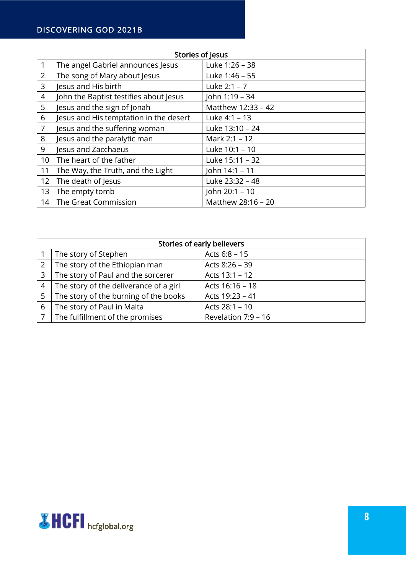#### DISCOVERING GOD 2021B

|                 | Stories of Jesus                       |                    |  |
|-----------------|----------------------------------------|--------------------|--|
|                 | The angel Gabriel announces Jesus      | Luke 1:26 - 38     |  |
| $\overline{2}$  | The song of Mary about Jesus           | Luke 1:46 - 55     |  |
| 3               | Jesus and His birth                    | Luke $2:1 - 7$     |  |
| 4               | John the Baptist testifies about Jesus | John 1:19 - 34     |  |
| 5               | Jesus and the sign of Jonah            | Matthew 12:33 - 42 |  |
| 6               | Jesus and His temptation in the desert | Luke 4:1 - 13      |  |
| $\overline{7}$  | Jesus and the suffering woman          | Luke 13:10 - 24    |  |
| 8               | Jesus and the paralytic man            | Mark 2:1 - 12      |  |
| 9               | Jesus and Zacchaeus                    | Luke 10:1 - 10     |  |
| 10 <sup>1</sup> | The heart of the father                | Luke 15:11 - 32    |  |
| 11              | The Way, the Truth, and the Light      | John 14:1 - 11     |  |
| 12              | The death of Jesus                     | Luke 23:32 - 48    |  |
| 13              | The empty tomb                         | John 20:1 - 10     |  |
| 14              | The Great Commission                   | Matthew 28:16 - 20 |  |

|                | Stories of early believers             |                     |  |
|----------------|----------------------------------------|---------------------|--|
|                | The story of Stephen                   | Acts 6:8 - 15       |  |
| 2              | The story of the Ethiopian man         | Acts 8:26 - 39      |  |
| 3              | The story of Paul and the sorcerer     | Acts 13:1 - 12      |  |
| $\overline{4}$ | The story of the deliverance of a girl | Acts 16:16 - 18     |  |
| 5              | The story of the burning of the books  | Acts 19:23 - 41     |  |
| 6              | The story of Paul in Malta             | Acts 28:1 - 10      |  |
|                | The fulfillment of the promises        | Revelation 7:9 - 16 |  |

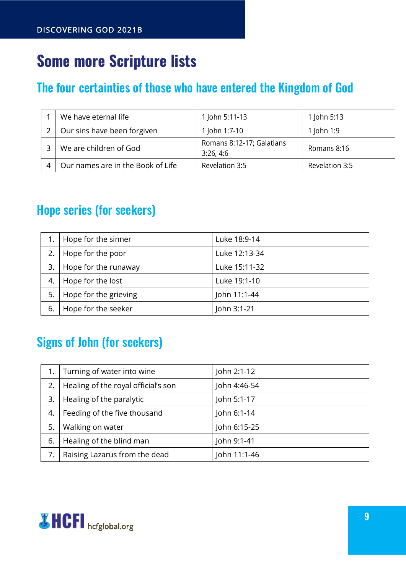# <span id="page-8-0"></span>**Some more Scripture lists**

## <span id="page-8-1"></span>The four certainties of those who have entered the Kingdom of God

| We have eternal life              | 1 John 5:11-13                         | 1 John 5:13    |
|-----------------------------------|----------------------------------------|----------------|
| Our sins have been forgiven       | 1 John 1:7-10                          | 1 John 1:9     |
| We are children of God            | Romans 8:12-17; Galatians<br>3:26, 4:6 | Romans 8:16    |
| Our names are in the Book of Life | Revelation 3:5                         | Revelation 3:5 |

## <span id="page-8-2"></span>Hope series (for seekers)

|    | Hope for the sinner   | Luke 18:9-14  |
|----|-----------------------|---------------|
| 2. | Hope for the poor     | Luke 12:13-34 |
| 3. | Hope for the runaway  | Luke 15:11-32 |
| 4. | Hope for the lost     | Luke 19:1-10  |
| 5. | Hope for the grieving | John 11:1-44  |
| 6. | Hope for the seeker   | John 3:1-21   |

## <span id="page-8-3"></span>Signs of John (for seekers)

|    | Turning of water into wine          | John 2:1-12  |
|----|-------------------------------------|--------------|
| 2. | Healing of the royal official's son | John 4:46-54 |
| 3. | Healing of the paralytic            | John 5:1-17  |
| 4. | Feeding of the five thousand        | John 6:1-14  |
| 5. | Walking on water                    | John 6:15-25 |
| 6. | Healing of the blind man            | John 9:1-41  |
|    | Raising Lazarus from the dead       | John 11:1-46 |

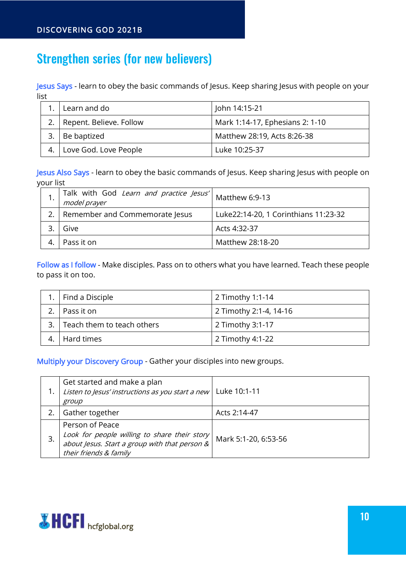## <span id="page-9-0"></span>Strengthen series (for new believers)

Jesus Says - learn to obey the basic commands of Jesus. Keep sharing Jesus with people on your list

| Learn and do                 | John 14:15-21                   |
|------------------------------|---------------------------------|
| 2.   Repent. Believe. Follow | Mark 1:14-17, Ephesians 2: 1-10 |
| Be baptized                  | Matthew 28:19, Acts 8:26-38     |
| Love God. Love People        | Luke 10:25-37                   |

Jesus Also Says - learn to obey the basic commands of Jesus. Keep sharing Jesus with people on your list

| Talk with God Learn and practice Jesus' Matthew 6:9-13<br>model prayer |                                      |
|------------------------------------------------------------------------|--------------------------------------|
| Remember and Commemorate Jesus                                         | Luke22:14-20, 1 Corinthians 11:23-32 |
| Give                                                                   | Acts 4:32-37                         |
| Pass it on                                                             | Matthew 28:18-20                     |

Follow as I follow - Make disciples. Pass on to others what you have learned. Teach these people to pass it on too.

| 1.   Find a Disciple          | 2 Timothy 1:1-14       |
|-------------------------------|------------------------|
| l Pass it on                  | 2 Timothy 2:1-4, 14-16 |
| 3. Teach them to teach others | 2 Timothy 3:1-17       |
| Hard times                    | 2 Timothy 4:1-22       |

Multiply your Discovery Group - Gather your disciples into new groups.

|    | Get started and make a plan<br>Listen to Jesus' instructions as you start a new<br>group                                                       | Luke 10:1-11         |
|----|------------------------------------------------------------------------------------------------------------------------------------------------|----------------------|
|    | Gather together                                                                                                                                | Acts 2:14-47         |
| 3. | Person of Peace<br>Look for people willing to share their story $ $<br>about Jesus. Start a group with that person &<br>their friends & family | Mark 5:1-20, 6:53-56 |

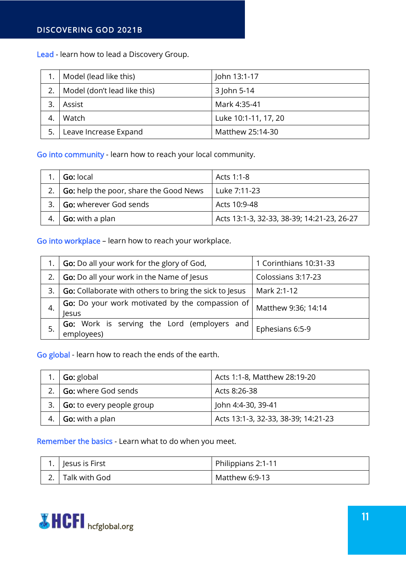Lead - learn how to lead a Discovery Group.

|    | Model (lead like this)       | John 13:1-17         |
|----|------------------------------|----------------------|
|    | Model (don't lead like this) | 3 John 5-14          |
|    | Assist                       | Mark 4:35-41         |
|    | Watch                        | Luke 10:1-11, 17, 20 |
| 5. | Leave Increase Expand        | Matthew 25:14-30     |

Go into community - learn how to reach your local community.

| Go: local                                     | Acts 1:1-8                                 |
|-----------------------------------------------|--------------------------------------------|
| <b>Go:</b> help the poor, share the Good News | Luke 7:11-23                               |
| <b>Go: wherever God sends</b>                 | Acts 10:9-48                               |
| <b>Go:</b> with a plan                        | Acts 13:1-3, 32-33, 38-39; 14:21-23, 26-27 |

Go into workplace – learn how to reach your workplace.

|    | <b>Go:</b> Do all your work for the glory of God,               | 1 Corinthians 10:31-33 |
|----|-----------------------------------------------------------------|------------------------|
| 2. | <b>Go:</b> Do all your work in the Name of Jesus                | Colossians 3:17-23     |
| 3. | <b>Go:</b> Collaborate with others to bring the sick to Jesus   | Mark 2:1-12            |
|    | <b>Go:</b> Do your work motivated by the compassion of<br>lesus | Matthew 9:36; 14:14    |
|    | Go: Work is serving the Lord (employers and<br>employees)       | Ephesians 6:5-9        |

Go global - learn how to reach the ends of the earth.

|    | <b>Go:</b> global         | Acts 1:1-8, Matthew 28:19-20        |
|----|---------------------------|-------------------------------------|
|    | Go: where God sends       | Acts 8:26-38                        |
| 3. | Go: to every people group | John 4:4-30, 39-41                  |
|    | <b>Go:</b> with a plan    | Acts 13:1-3, 32-33, 38-39; 14:21-23 |

#### Remember the basics - Learn what to do when you meet.

| 1. Jesus is First | Philippians 2:1-11 |
|-------------------|--------------------|
| 2. Talk with God  | Matthew 6:9-13     |

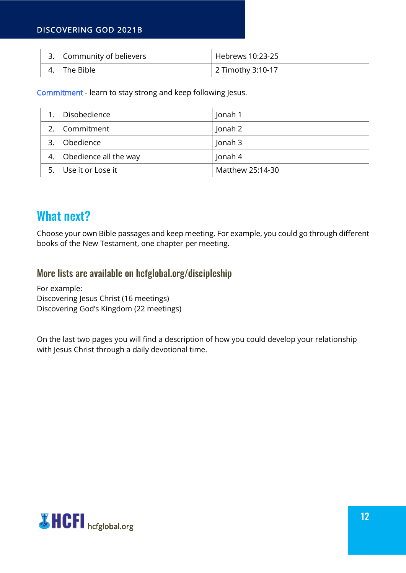#### DISCOVERING GOD 2021B

|     | 3. Community of believers | Hebrews 10:23-25  |
|-----|---------------------------|-------------------|
| -4. | The Bible                 | 2 Timothy 3:10-17 |

Commitment - learn to stay strong and keep following Jesus.

|    | Disobedience          | Jonah 1          |
|----|-----------------------|------------------|
|    | Commitment            | Jonah 2          |
| 3. | Obedience             | Jonah 3          |
| 4. | Obedience all the way | Jonah 4          |
|    | Use it or Lose it     | Matthew 25:14-30 |

### <span id="page-11-0"></span>What next?

Choose your own Bible passages and keep meeting. For example, you could go through different books of the New Testament, one chapter per meeting.

#### <span id="page-11-1"></span>More lists are available on hcfglobal.org/discipleship

For example: Discovering Jesus Christ (16 meetings) Discovering God's Kingdom (22 meetings)

On the last two pages you will find a description of how you could develop your relationship with Jesus Christ through a daily devotional time.

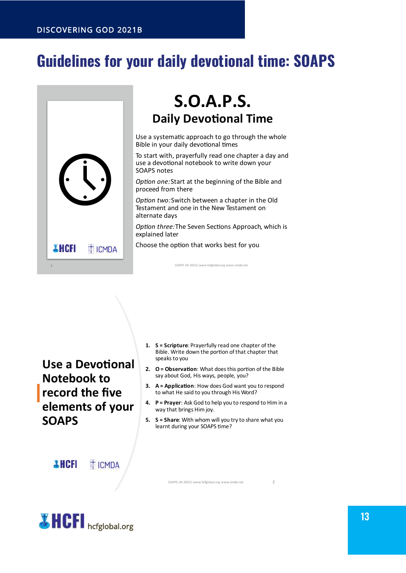# <span id="page-12-0"></span>**Guidelines for your daily devotional time: SOAPS**



## **S.O.A.P.S. Daily Devotional Time**

Use a systematic approach to go through the whole Bible in your daily devotional times

To start with, prayerfully read one chapter a day and use a devotional notebook to write down your SOAPS notes

Option one: Start at the beginning of the Bible and proceed from there

Option two: Switch between a chapter in the Old Testament and one in the New Testament on alternate davs

Option three: The Seven Sections Approach, which is explained later

Choose the option that works best for you

SOAPS UK 2021C www.hcfglobal.org www.icmda.net

**Use a Devotional Notebook to** record the five elements of your **SOAPS** 

1. S = Scripture: Prayerfully read one chapter of the Bible. Write down the portion of that chapter that speaks to you

- 2. O = Observation: What does this portion of the Bible say about God, His ways, people, you?
- **3.** A = Application: How does God want you to respond to what He said to you through His Word?
- 4. P = Prayer: Ask God to help you to respond to Him in a way that brings Him joy.
- 5. S = Share: With whom will you try to share what you learnt during your SOAPS time? I

**THCFI TICMDA** 

SOAPS UK 2021C www.hcfglobal.org www.icmda.net

 $\overline{2}$ 



13